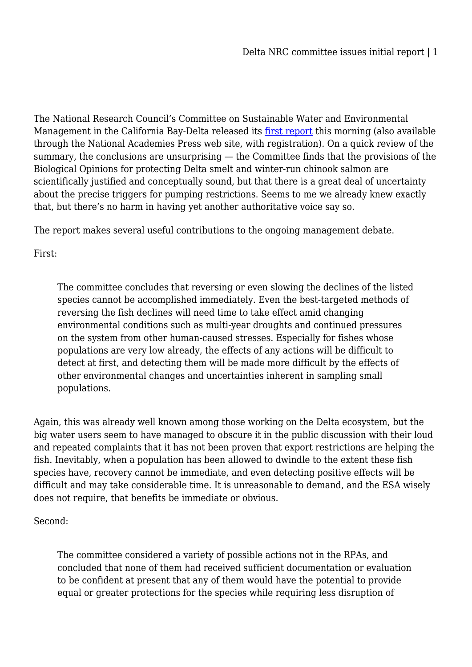The National Research Council's Committee on Sustainable Water and Environmental Management in the California Bay-Delta released its [first report](http://aquadoc.typepad.com/files/a-scientific-assessment-of-alternatives-for-reducing-water-management-effects-on-threatened-and-endangered-fishes-in-californias-bay-delta-1.pdf) this morning (also available through the National Academies Press web site, with registration). On a quick review of the summary, the conclusions are unsurprising — the Committee finds that the provisions of the Biological Opinions for protecting Delta smelt and winter-run chinook salmon are scientifically justified and conceptually sound, but that there is a great deal of uncertainty about the precise triggers for pumping restrictions. Seems to me we already knew exactly that, but there's no harm in having yet another authoritative voice say so.

The report makes several useful contributions to the ongoing management debate.

First:

The committee concludes that reversing or even slowing the declines of the listed species cannot be accomplished immediately. Even the best-targeted methods of reversing the fish declines will need time to take effect amid changing environmental conditions such as multi-year droughts and continued pressures on the system from other human-caused stresses. Especially for fishes whose populations are very low already, the effects of any actions will be difficult to detect at first, and detecting them will be made more difficult by the effects of other environmental changes and uncertainties inherent in sampling small populations.

Again, this was already well known among those working on the Delta ecosystem, but the big water users seem to have managed to obscure it in the public discussion with their loud and repeated complaints that it has not been proven that export restrictions are helping the fish. Inevitably, when a population has been allowed to dwindle to the extent these fish species have, recovery cannot be immediate, and even detecting positive effects will be difficult and may take considerable time. It is unreasonable to demand, and the ESA wisely does not require, that benefits be immediate or obvious.

Second:

The committee considered a variety of possible actions not in the RPAs, and concluded that none of them had received sufficient documentation or evaluation to be confident at present that any of them would have the potential to provide equal or greater protections for the species while requiring less disruption of